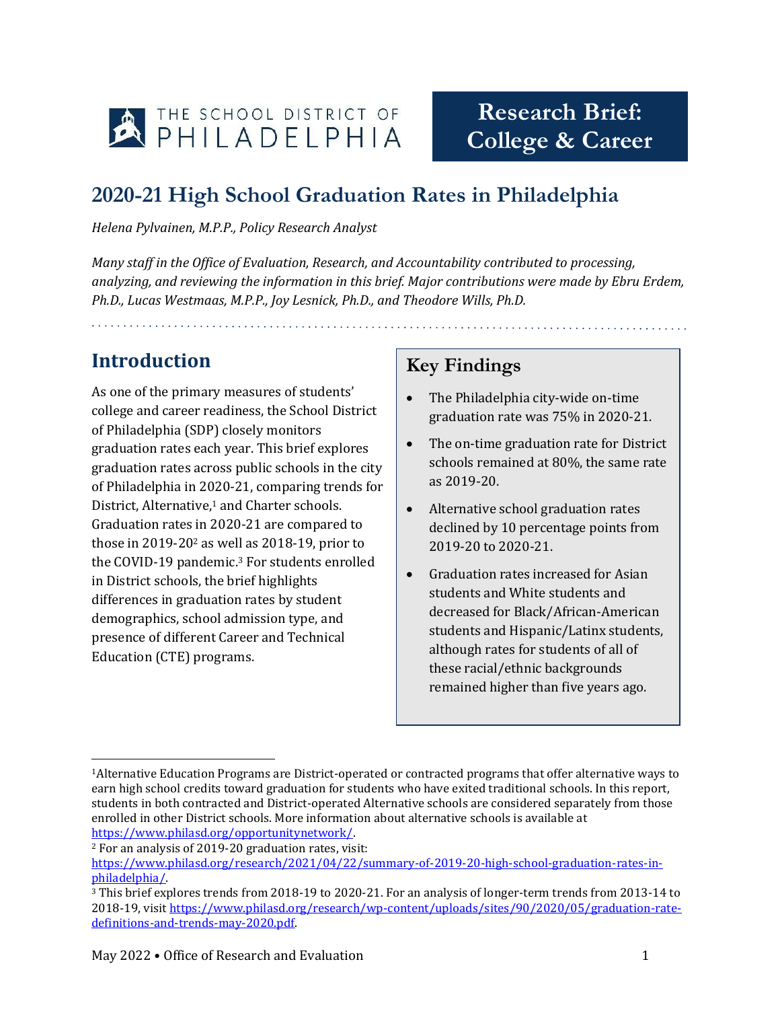

# **Research Brief: College & Career**

### **2020-21 High School Graduation Rates in Philadelphia**

*Helena Pylvainen, M.P.P., Policy Research Analyst*

*Many staff in the Office of Evaluation, Research, and Accountability contributed to processing, analyzing, and reviewing the information in this brief. Major contributions were made by Ebru Erdem, Ph.D., Lucas Westmaas, M.P.P., Joy Lesnick, Ph.D., and Theodore Wills, Ph.D.* 

de la característica de la característica de la característica de la característica de la característica de la

### **Introduction**

As one of the primary measures of students' college and career readiness, the School District of Philadelphia (SDP) closely monitors graduation rates each year. This brief explores graduation rates across public schools in the city of Philadelphia in 2020-21, comparing trends for District, Alternative, <sup>1</sup> and Charter schools. Graduation rates in 2020-21 are compared to those in 2019-20<sup>2</sup> as well as 2018-19, prior to the COVID-19 pandemic. <sup>3</sup> For students enrolled in District schools, the brief highlights differences in graduation rates by student demographics, school admission type, and presence of different Career and Technical Education (CTE) programs.

### **Key Findings**

- The Philadelphia city-wide on-time graduation rate was 75% in 2020-21.
- The on-time graduation rate for District schools remained at 80%, the same rate as 2019-20.
- Alternative school graduation rates declined by 10 percentage points from 2019-20 to 2020-21.
- Graduation rates increased for Asian students and White students and decreased for Black/African-American students and Hispanic/Latinx students, although rates for students of all of these racial/ethnic backgrounds remained higher than five years ago.

 $\overline{a}$ <sup>1</sup>Alternative Education Programs are District-operated or contracted programs that offer alternative ways to earn high school credits toward graduation for students who have exited traditional schools. In this report, students in both contracted and District-operated Alternative schools are considered separately from those enrolled in other District schools. More information about alternative schools is available at [https://www.philasd.org/opportunitynetwork/.](https://www.philasd.org/opportunitynetwork/)

<sup>2</sup> For an analysis of 2019-20 graduation rates, visit:

[https://www.philasd.org/research/2021/04/22/summary-of-2019-20-high-school-graduation-rates-in](https://www.philasd.org/research/2021/04/22/summary-of-2019-20-high-school-graduation-rates-in-philadelphia/)[philadelphia/.](https://www.philasd.org/research/2021/04/22/summary-of-2019-20-high-school-graduation-rates-in-philadelphia/)

<sup>3</sup> This brief explores trends from 2018-19 to 2020-21. For an analysis of longer-term trends from 2013-14 to 2018-19, visit [https://www.philasd.org/research/wp-content/uploads/sites/90/2020/05/graduation-rate](https://www.philasd.org/research/wp-content/uploads/sites/90/2020/05/graduation-rate-definitions-and-trends-may-2020.pdf)[definitions-and-trends-may-2020.pdf.](https://www.philasd.org/research/wp-content/uploads/sites/90/2020/05/graduation-rate-definitions-and-trends-may-2020.pdf)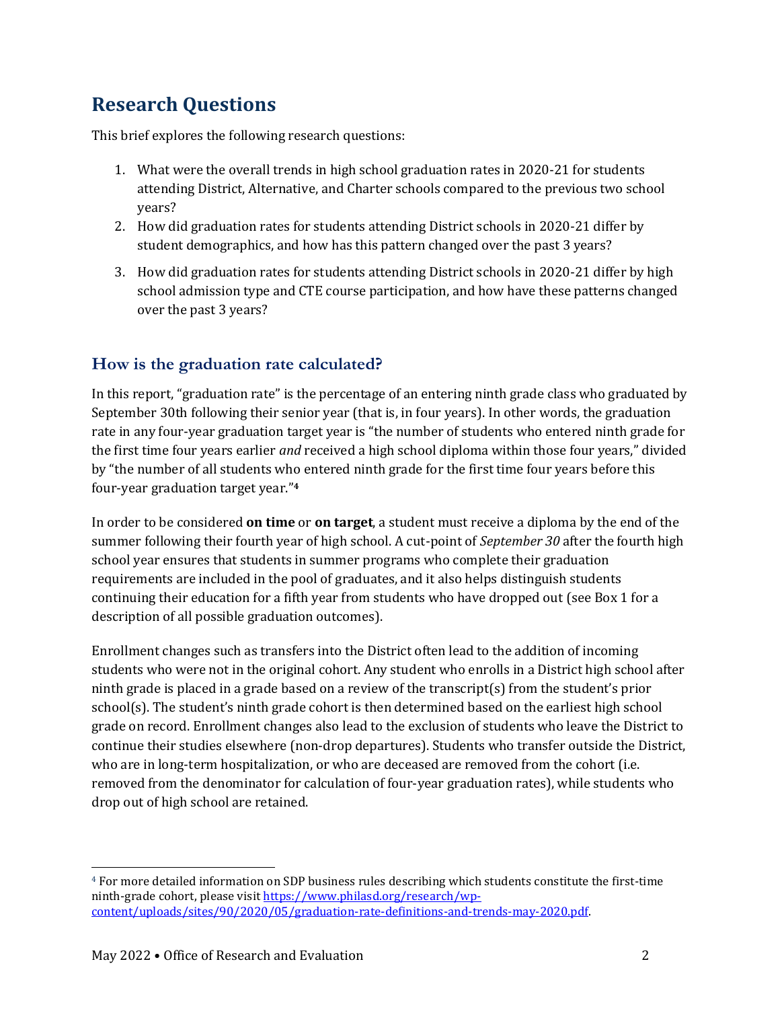### **Research Questions**

This brief explores the following research questions:

- 1. What were the overall trends in high school graduation rates in 2020-21 for students attending District, Alternative, and Charter schools compared to the previous two school years?
- 2. How did graduation rates for students attending District schools in 2020-21 differ by student demographics, and how has this pattern changed over the past 3 years?
- 3. How did graduation rates for students attending District schools in 2020-21 differ by high school admission type and CTE course participation, and how have these patterns changed over the past 3 years?

#### **How is the graduation rate calculated?**

In this report, "graduation rate" is the percentage of an entering ninth grade class who graduated by September 30th following their senior year (that is, in four years). In other words, the graduation rate in any four-year graduation target year is "the number of students who entered ninth grade for the first time four years earlier *and* received a high school diploma within those four years," divided by "the number of all students who entered ninth grade for the first time four years before this four-year graduation target year." **4**

In order to be considered **on time** or **on target**, a student must receive a diploma by the end of the summer following their fourth year of high school. A cut-point of *September 30* after the fourth high school year ensures that students in summer programs who complete their graduation requirements are included in the pool of graduates, and it also helps distinguish students continuing their education for a fifth year from students who have dropped out (see Box 1 for a description of all possible graduation outcomes).

Enrollment changes such as transfers into the District often lead to the addition of incoming students who were not in the original cohort. Any student who enrolls in a District high school after ninth grade is placed in a grade based on a review of the transcript(s) from the student's prior school(s). The student's ninth grade cohort is then determined based on the earliest high school grade on record. Enrollment changes also lead to the exclusion of students who leave the District to continue their studies elsewhere (non-drop departures). Students who transfer outside the District, who are in long-term hospitalization, or who are deceased are removed from the cohort (i.e. removed from the denominator for calculation of four-year graduation rates), while students who drop out of high school are retained.

 $\overline{a}$ 

<sup>4</sup> For more detailed information on SDP business rules describing which students constitute the first-time ninth-grade cohort, please visit [https://www.philasd.org/research/wp](https://www.philasd.org/research/wp-content/uploads/sites/90/2020/05/graduation-rate-definitions-and-trends-may-2020.pdf)[content/uploads/sites/90/2020/05/graduation-rate-definitions-and-trends-may-2020.pdf.](https://www.philasd.org/research/wp-content/uploads/sites/90/2020/05/graduation-rate-definitions-and-trends-may-2020.pdf)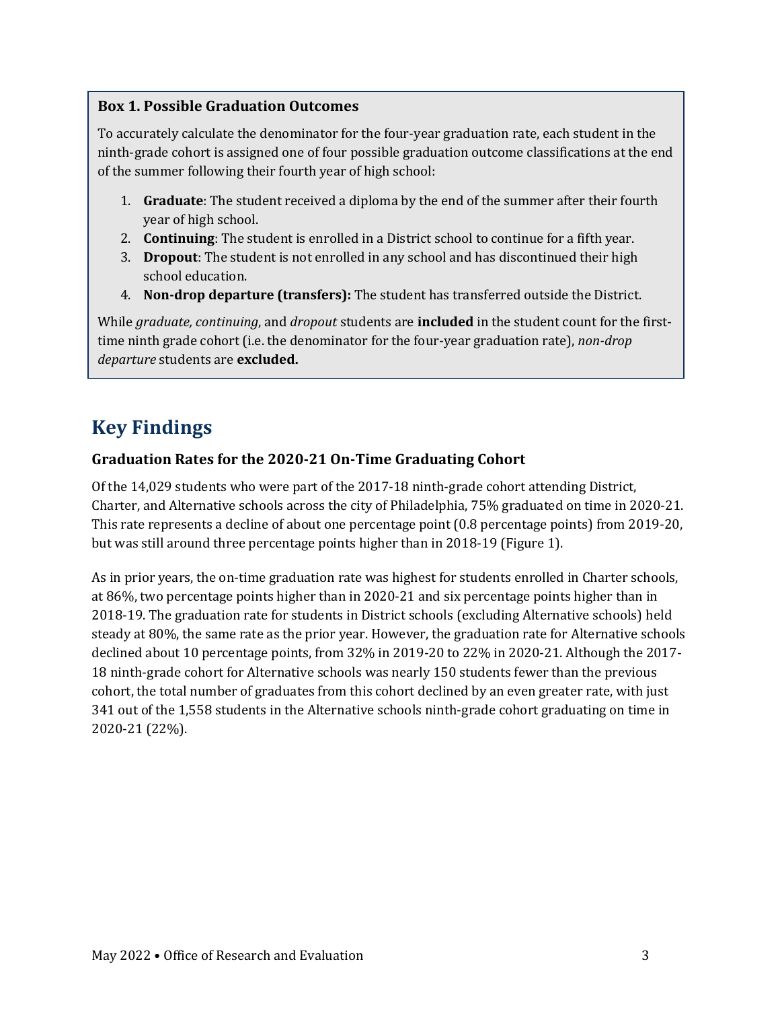#### **Box 1. Possible Graduation Outcomes**

To accurately calculate the denominator for the four-year graduation rate, each student in the ninth-grade cohort is assigned one of four possible graduation outcome classifications at the end of the summer following their fourth year of high school:

- 1. **Graduate**: The student received a diploma by the end of the summer after their fourth year of high school.
- 2. **Continuing**: The student is enrolled in a District school to continue for a fifth year.
- 3. **Dropout**: The student is not enrolled in any school and has discontinued their high school education.
- 4. **Non-drop departure (transfers):** The student has transferred outside the District.

While *graduate, continuing*, and *dropout* students are **included** in the student count for the firsttime ninth grade cohort (i.e. the denominator for the four-year graduation rate), *non-drop departure* students are **excluded.**

### **Key Findings**

#### **Graduation Rates for the 2020-21 On-Time Graduating Cohort**

Of the 14,029 students who were part of the 2017-18 ninth-grade cohort attending District, Charter, and Alternative schools across the city of Philadelphia, 75% graduated on time in 2020-21. This rate represents a decline of about one percentage point (0.8 percentage points) from 2019-20, but was still around three percentage points higher than in 2018-19 (Figure 1).

As in prior years, the on-time graduation rate was highest for students enrolled in Charter schools, at 86%, two percentage points higher than in 2020-21 and six percentage points higher than in 2018-19. The graduation rate for students in District schools (excluding Alternative schools) held steady at 80%, the same rate as the prior year. However, the graduation rate for Alternative schools declined about 10 percentage points, from 32% in 2019-20 to 22% in 2020-21. Although the 2017- 18 ninth-grade cohort for Alternative schools was nearly 150 students fewer than the previous cohort, the total number of graduates from this cohort declined by an even greater rate, with just 341 out of the 1,558 students in the Alternative schools ninth-grade cohort graduating on time in 2020-21 (22%).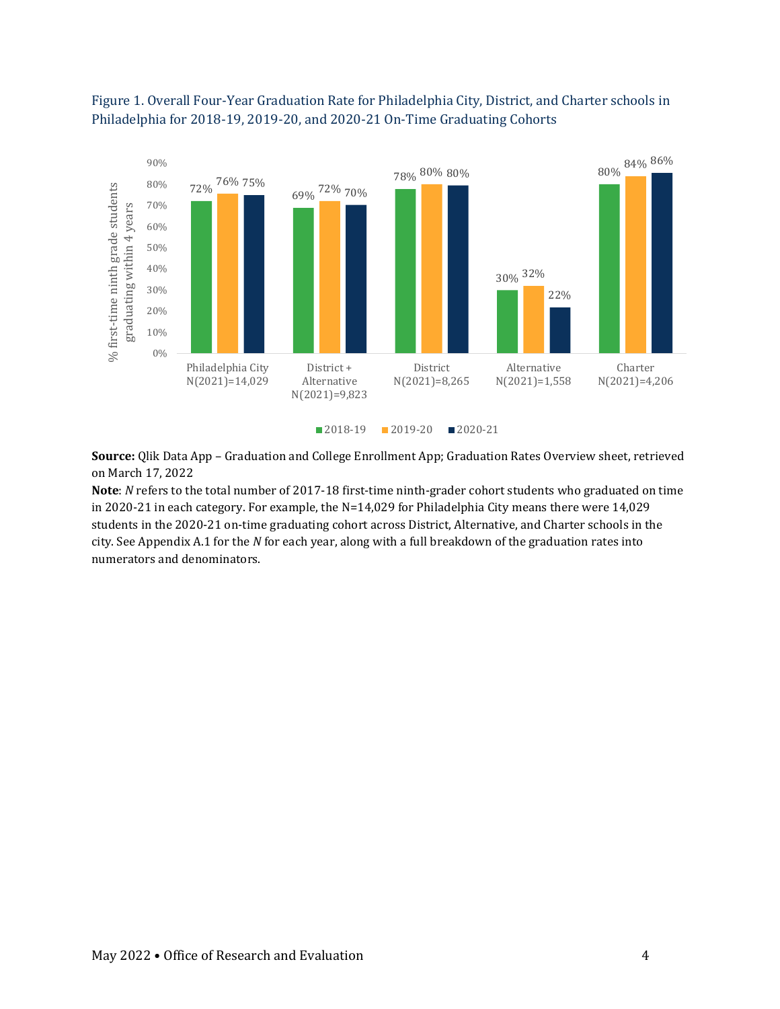

#### Figure 1. Overall Four-Year Graduation Rate for Philadelphia City, District, and Charter schools in Philadelphia for 2018-19, 2019-20, and 2020-21 On-Time Graduating Cohorts

**Source:** Qlik Data App – Graduation and College Enrollment App; Graduation Rates Overview sheet, retrieved on March 17, 2022

**Note**: *N* refers to the total number of 2017-18 first-time ninth-grader cohort students who graduated on time in 2020-21 in each category. For example, the N=14,029 for Philadelphia City means there were 14,029 students in the 2020-21 on-time graduating cohort across District, Alternative, and Charter schools in the city. See Appendix A.1 for the *N* for each year, along with a full breakdown of the graduation rates into numerators and denominators.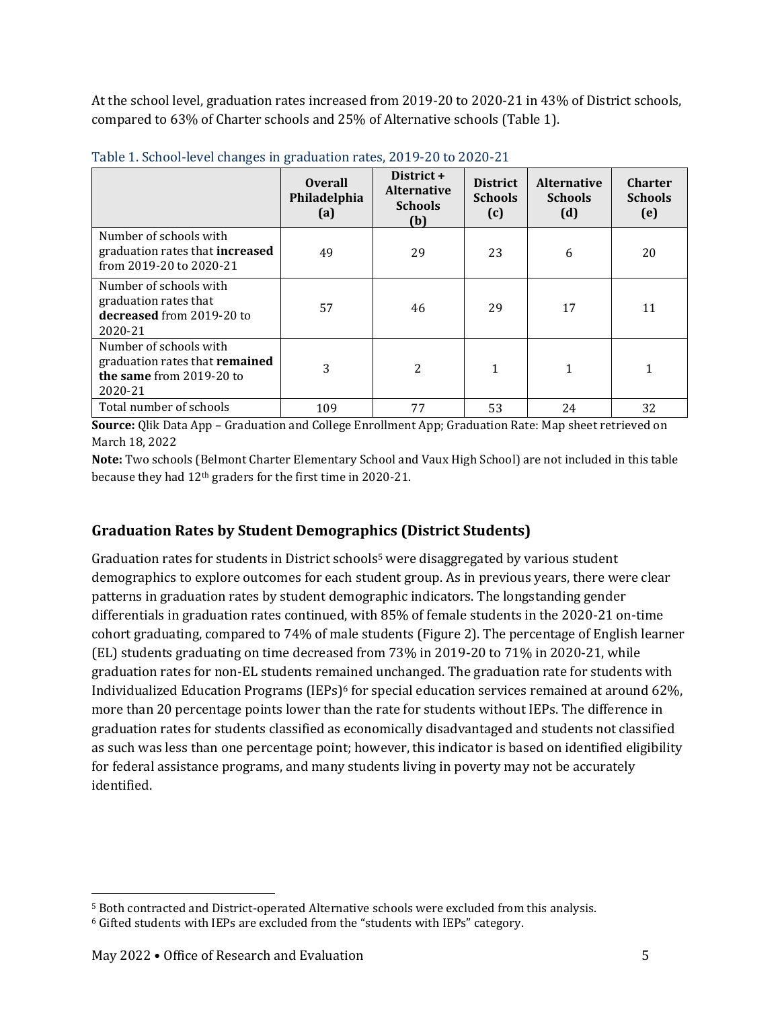At the school level, graduation rates increased from 2019-20 to 2020-21 in 43% of District schools, compared to 63% of Charter schools and 25% of Alternative schools (Table 1).

|                                                                                                 | <b>Overall</b><br>Philadelphia<br>(a) | District +<br><b>Alternative</b><br><b>Schools</b><br>(b) | <b>District</b><br><b>Schools</b><br>(c) | <b>Alternative</b><br><b>Schools</b><br>(d) | <b>Charter</b><br><b>Schools</b><br>(e) |
|-------------------------------------------------------------------------------------------------|---------------------------------------|-----------------------------------------------------------|------------------------------------------|---------------------------------------------|-----------------------------------------|
| Number of schools with<br>graduation rates that increased<br>from 2019-20 to 2020-21            | 49                                    | 29                                                        | 23                                       | 6                                           | 20                                      |
| Number of schools with<br>graduation rates that<br>decreased from 2019-20 to<br>2020-21         | 57                                    | 46                                                        | 29                                       | 17                                          | 11                                      |
| Number of schools with<br>graduation rates that remained<br>the same from 2019-20 to<br>2020-21 | 3                                     | $\overline{c}$                                            | 1                                        | 1                                           |                                         |
| Total number of schools                                                                         | 109                                   | 77                                                        | 53                                       | 24                                          | 32                                      |

Table 1. School-level changes in graduation rates, 2019-20 to 2020-21

**Source:** Qlik Data App – Graduation and College Enrollment App; Graduation Rate: Map sheet retrieved on March 18, 2022

**Note:** Two schools (Belmont Charter Elementary School and Vaux High School) are not included in this table because they had 12th graders for the first time in 2020-21.

#### **Graduation Rates by Student Demographics (District Students)**

Graduation rates for students in District schools<sup>5</sup> were disaggregated by various student demographics to explore outcomes for each student group. As in previous years, there were clear patterns in graduation rates by student demographic indicators. The longstanding gender differentials in graduation rates continued, with 85% of female students in the 2020-21 on-time cohort graduating, compared to 74% of male students (Figure 2). The percentage of English learner (EL) students graduating on time decreased from 73% in 2019-20 to 71% in 2020-21, while graduation rates for non-EL students remained unchanged. The graduation rate for students with Individualized Education Programs (IEPs) $6$  for special education services remained at around 62%, more than 20 percentage points lower than the rate for students without IEPs. The difference in graduation rates for students classified as economically disadvantaged and students not classified as such was less than one percentage point; however, this indicator is based on identified eligibility for federal assistance programs, and many students living in poverty may not be accurately identified.

 $\overline{\phantom{0}}$ 

<sup>5</sup> Both contracted and District-operated Alternative schools were excluded from this analysis.

<sup>6</sup> Gifted students with IEPs are excluded from the "students with IEPs" category.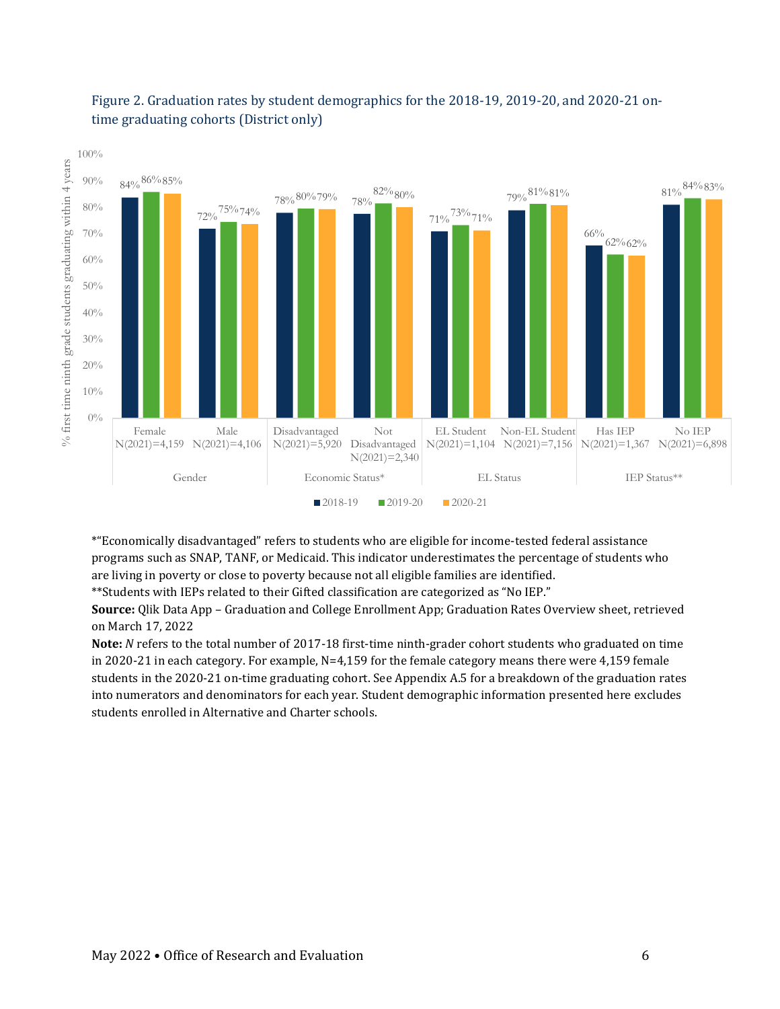

#### Figure 2. Graduation rates by student demographics for the 2018-19, 2019-20, and 2020-21 ontime graduating cohorts (District only)

\*"Economically disadvantaged" refers to students who are eligible for income-tested federal assistance programs such as SNAP, TANF, or Medicaid. This indicator underestimates the percentage of students who are living in poverty or close to poverty because not all eligible families are identified.

\*\*Students with IEPs related to their Gifted classification are categorized as "No IEP."

**Source:** Qlik Data App – Graduation and College Enrollment App; Graduation Rates Overview sheet, retrieved on March 17, 2022

**Note:** *N* refers to the total number of 2017-18 first-time ninth-grader cohort students who graduated on time in 2020-21 in each category. For example, N=4,159 for the female category means there were 4,159 female students in the 2020-21 on-time graduating cohort. See Appendix A.5 for a breakdown of the graduation rates into numerators and denominators for each year. Student demographic information presented here excludes students enrolled in Alternative and Charter schools.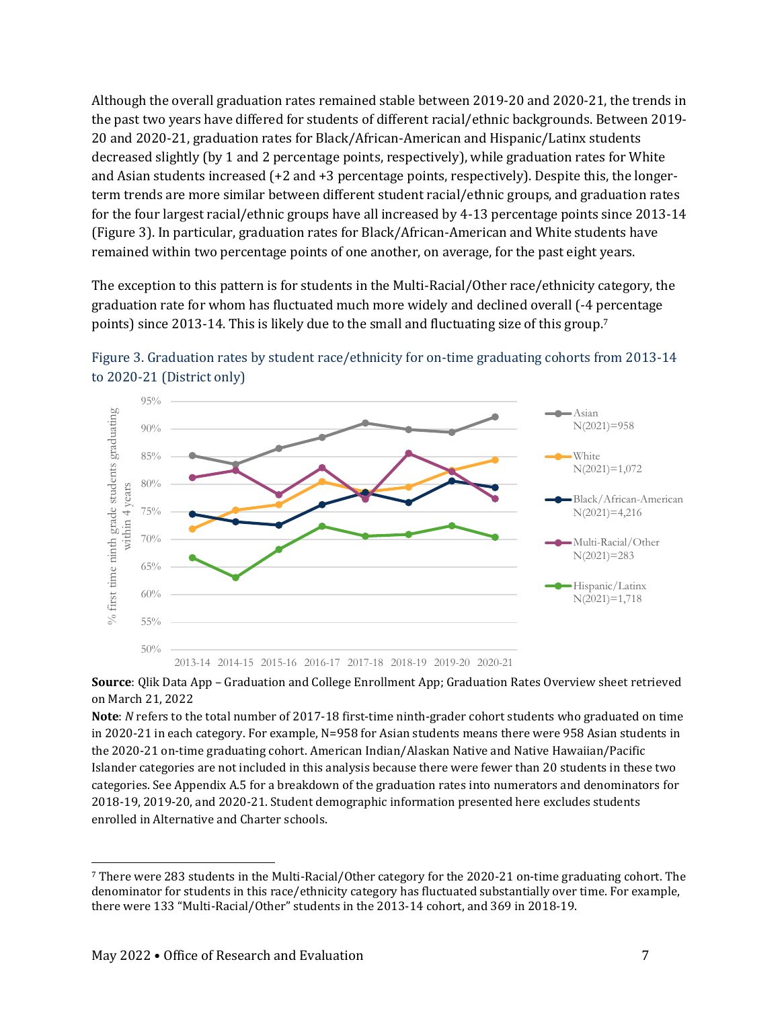Although the overall graduation rates remained stable between 2019-20 and 2020-21, the trends in the past two years have differed for students of different racial/ethnic backgrounds. Between 2019- 20 and 2020-21, graduation rates for Black/African-American and Hispanic/Latinx students decreased slightly (by 1 and 2 percentage points, respectively), while graduation rates for White and Asian students increased (+2 and +3 percentage points, respectively). Despite this, the longerterm trends are more similar between different student racial/ethnic groups, and graduation rates for the four largest racial/ethnic groups have all increased by 4-13 percentage points since 2013-14 (Figure 3). In particular, graduation rates for Black/African-American and White students have remained within two percentage points of one another, on average, for the past eight years.

The exception to this pattern is for students in the Multi-Racial/Other race/ethnicity category, the graduation rate for whom has fluctuated much more widely and declined overall (-4 percentage points) since 2013-14. This is likely due to the small and fluctuating size of this group. 7





**Source**: Qlik Data App – Graduation and College Enrollment App; Graduation Rates Overview sheet retrieved on March 21, 2022

**Note**: *N* refers to the total number of 2017-18 first-time ninth-grader cohort students who graduated on time in 2020-21 in each category. For example, N=958 for Asian students means there were 958 Asian students in the 2020-21 on-time graduating cohort. American Indian/Alaskan Native and Native Hawaiian/Pacific Islander categories are not included in this analysis because there were fewer than 20 students in these two categories. See Appendix A.5 for a breakdown of the graduation rates into numerators and denominators for 2018-19, 2019-20, and 2020-21. Student demographic information presented here excludes students enrolled in Alternative and Charter schools.

l

<sup>7</sup> There were 283 students in the Multi-Racial/Other category for the 2020-21 on-time graduating cohort. The denominator for students in this race/ethnicity category has fluctuated substantially over time. For example, there were 133 "Multi-Racial/Other" students in the 2013-14 cohort, and 369 in 2018-19.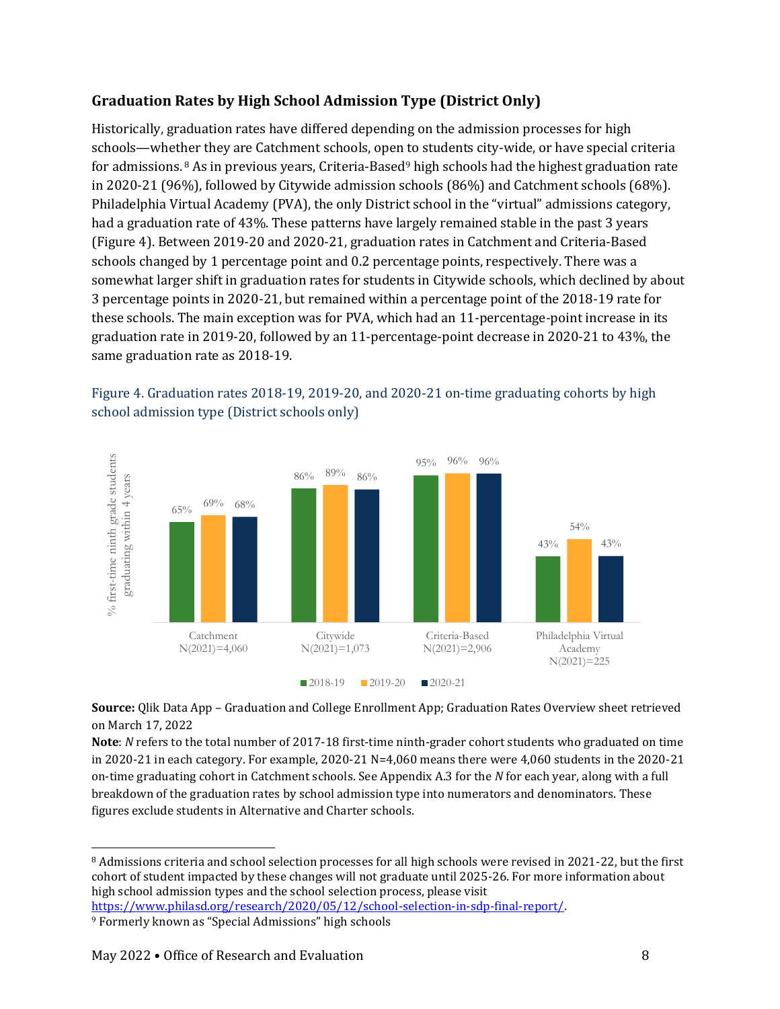#### **Graduation Rates by High School Admission Type (District Only)**

Historically, graduation rates have differed depending on the admission processes for high schools—whether they are Catchment schools, open to students city-wide, or have special criteria for admissions. <sup>8</sup> As in previous years, Criteria-Based<sup>9</sup> high schools had the highest graduation rate in 2020-21 (96%), followed by Citywide admission schools (86%) and Catchment schools (68%). Philadelphia Virtual Academy (PVA), the only District school in the "virtual" admissions category, had a graduation rate of 43%. These patterns have largely remained stable in the past 3 years (Figure 4). Between 2019-20 and 2020-21, graduation rates in Catchment and Criteria-Based schools changed by 1 percentage point and 0.2 percentage points, respectively. There was a somewhat larger shift in graduation rates for students in Citywide schools, which declined by about 3 percentage points in 2020-21, but remained within a percentage point of the 2018-19 rate for these schools. The main exception was for PVA, which had an 11-percentage-point increase in its graduation rate in 2019-20, followed by an 11-percentage-point decrease in 2020-21 to 43%, the same graduation rate as 2018-19.



#### Figure 4. Graduation rates 2018-19, 2019-20, and 2020-21 on-time graduating cohorts by high school admission type (District schools only)

**Source:** Qlik Data App – Graduation and College Enrollment App; Graduation Rates Overview sheet retrieved on March 17, 2022

**Note**: *N* refers to the total number of 2017-18 first-time ninth-grader cohort students who graduated on time in 2020-21 in each category. For example, 2020-21 N=4,060 means there were 4,060 students in the 2020-21 on-time graduating cohort in Catchment schools. See Appendix A.3 for the *N* for each year, along with a full breakdown of the graduation rates by school admission type into numerators and denominators. These figures exclude students in Alternative and Charter schools.

l <sup>8</sup> Admissions criteria and school selection processes for all high schools were revised in 2021-22, but the first cohort of student impacted by these changes will not graduate until 2025-26. For more information about high school admission types and the school selection process, please visit [https://www.philasd.org/research/2020/05/12/school-selection-in-sdp-final-report/.](https://www.philasd.org/research/2020/05/12/school-selection-in-sdp-final-report/)

<sup>9</sup> Formerly known as "Special Admissions" high schools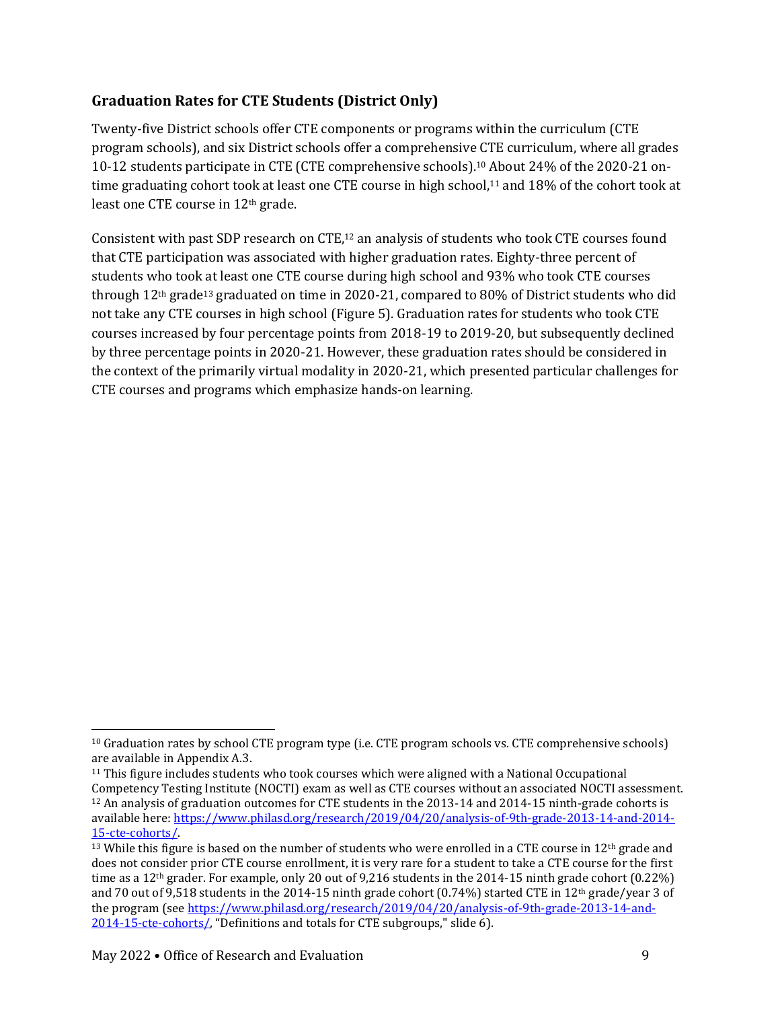#### **Graduation Rates for CTE Students (District Only)**

Twenty-five District schools offer CTE components or programs within the curriculum (CTE program schools), and six District schools offer a comprehensive CTE curriculum, where all grades 10-12 students participate in CTE (CTE comprehensive schools).<sup>10</sup> About 24% of the 2020-21 ontime graduating cohort took at least one CTE course in high school,<sup>11</sup> and 18% of the cohort took at least one CTE course in 12th grade.

Consistent with past SDP research on CTE,<sup>12</sup> an analysis of students who took CTE courses found that CTE participation was associated with higher graduation rates. Eighty-three percent of students who took at least one CTE course during high school and 93% who took CTE courses through 12th grade<sup>13</sup> graduated on time in 2020-21, compared to 80% of District students who did not take any CTE courses in high school (Figure 5). Graduation rates for students who took CTE courses increased by four percentage points from 2018-19 to 2019-20, but subsequently declined by three percentage points in 2020-21. However, these graduation rates should be considered in the context of the primarily virtual modality in 2020-21, which presented particular challenges for CTE courses and programs which emphasize hands-on learning.

l

<sup>10</sup> Graduation rates by school CTE program type (i.e. CTE program schools vs. CTE comprehensive schools) are available in Appendix A.3.

<sup>11</sup> This figure includes students who took courses which were aligned with a National Occupational Competency Testing Institute (NOCTI) exam as well as CTE courses without an associated NOCTI assessment. <sup>12</sup> An analysis of graduation outcomes for CTE students in the 2013-14 and 2014-15 ninth-grade cohorts is available here[: https://www.philasd.org/research/2019/04/20/analysis-of-9th-grade-2013-14-and-2014-](https://www.philasd.org/research/2019/04/20/analysis-of-9th-grade-2013-14-and-2014-15-cte-cohorts/) [15-cte-cohorts/.](https://www.philasd.org/research/2019/04/20/analysis-of-9th-grade-2013-14-and-2014-15-cte-cohorts/) 

<sup>&</sup>lt;sup>13</sup> While this figure is based on the number of students who were enrolled in a CTE course in  $12<sup>th</sup>$  grade and does not consider prior CTE course enrollment, it is very rare for a student to take a CTE course for the first time as a 12<sup>th</sup> grader. For example, only 20 out of 9,216 students in the 2014-15 ninth grade cohort (0.22%) and 70 out of 9,518 students in the 2014-15 ninth grade cohort (0.74%) started CTE in 12th grade/year 3 of the program (se[e https://www.philasd.org/research/2019/04/20/analysis-of-9th-grade-2013-14-and-](https://www.philasd.org/research/2019/04/20/analysis-of-9th-grade-2013-14-and-2014-15-cte-cohorts/)[2014-15-cte-cohorts/](https://www.philasd.org/research/2019/04/20/analysis-of-9th-grade-2013-14-and-2014-15-cte-cohorts/), "Definitions and totals for CTE subgroups," slide 6).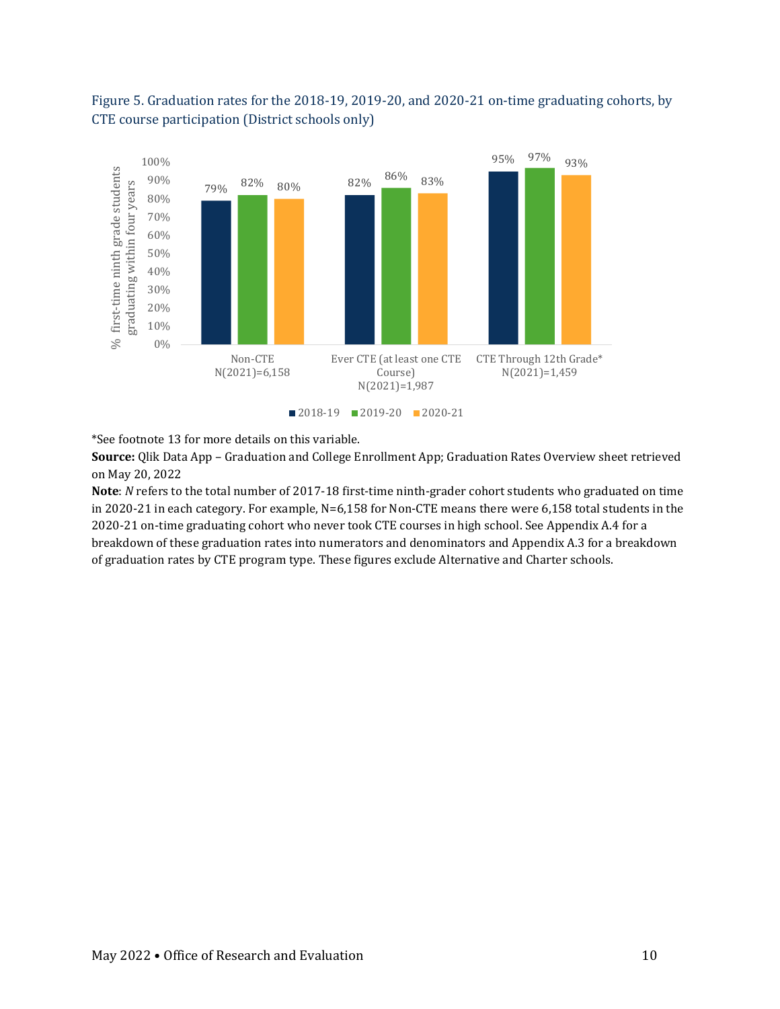

#### Figure 5. Graduation rates for the 2018-19, 2019-20, and 2020-21 on-time graduating cohorts, by CTE course participation (District schools only)

\*See footnote 13 for more details on this variable.

**Source:** Qlik Data App – Graduation and College Enrollment App; Graduation Rates Overview sheet retrieved on May 20, 2022

**Note**: *N* refers to the total number of 2017-18 first-time ninth-grader cohort students who graduated on time in 2020-21 in each category. For example, N=6,158 for Non-CTE means there were 6,158 total students in the 2020-21 on-time graduating cohort who never took CTE courses in high school. See Appendix A.4 for a breakdown of these graduation rates into numerators and denominators and Appendix A.3 for a breakdown of graduation rates by CTE program type. These figures exclude Alternative and Charter schools.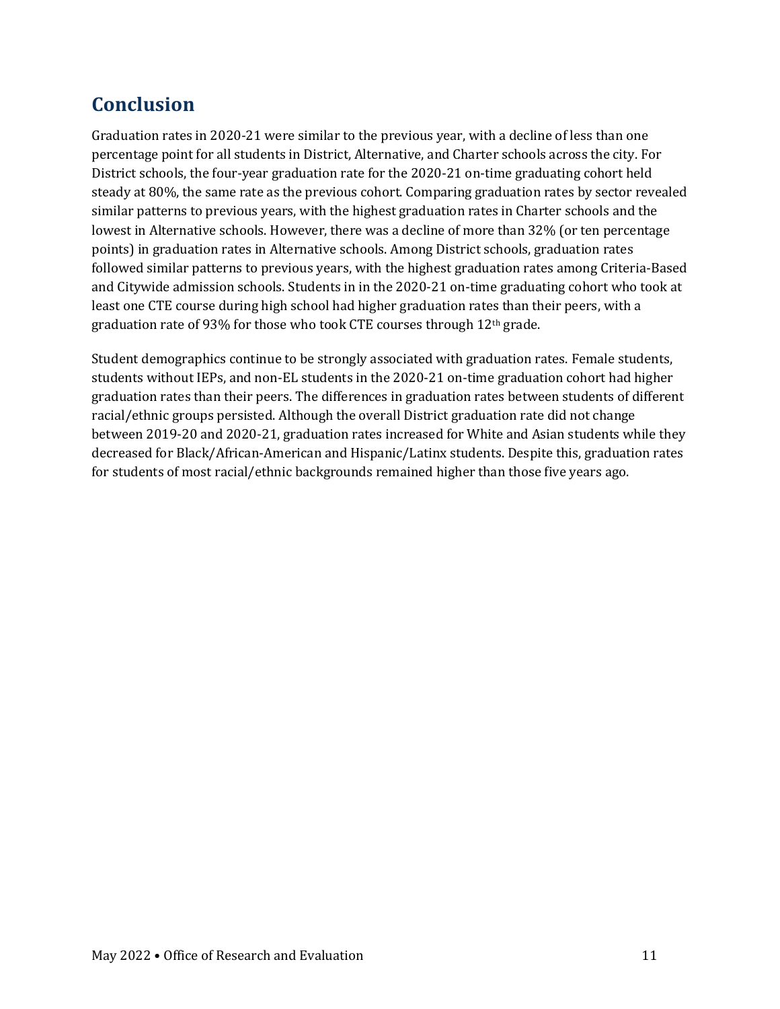### **Conclusion**

Graduation rates in 2020-21 were similar to the previous year, with a decline of less than one percentage point for all students in District, Alternative, and Charter schools across the city. For District schools, the four-year graduation rate for the 2020-21 on-time graduating cohort held steady at 80%, the same rate as the previous cohort. Comparing graduation rates by sector revealed similar patterns to previous years, with the highest graduation rates in Charter schools and the lowest in Alternative schools. However, there was a decline of more than 32% (or ten percentage points) in graduation rates in Alternative schools. Among District schools, graduation rates followed similar patterns to previous years, with the highest graduation rates among Criteria-Based and Citywide admission schools. Students in in the 2020-21 on-time graduating cohort who took at least one CTE course during high school had higher graduation rates than their peers, with a graduation rate of 93% for those who took CTE courses through  $12<sup>th</sup>$  grade.

Student demographics continue to be strongly associated with graduation rates. Female students, students without IEPs, and non-EL students in the 2020-21 on-time graduation cohort had higher graduation rates than their peers. The differences in graduation rates between students of different racial/ethnic groups persisted. Although the overall District graduation rate did not change between 2019-20 and 2020-21, graduation rates increased for White and Asian students while they decreased for Black/African-American and Hispanic/Latinx students. Despite this, graduation rates for students of most racial/ethnic backgrounds remained higher than those five years ago.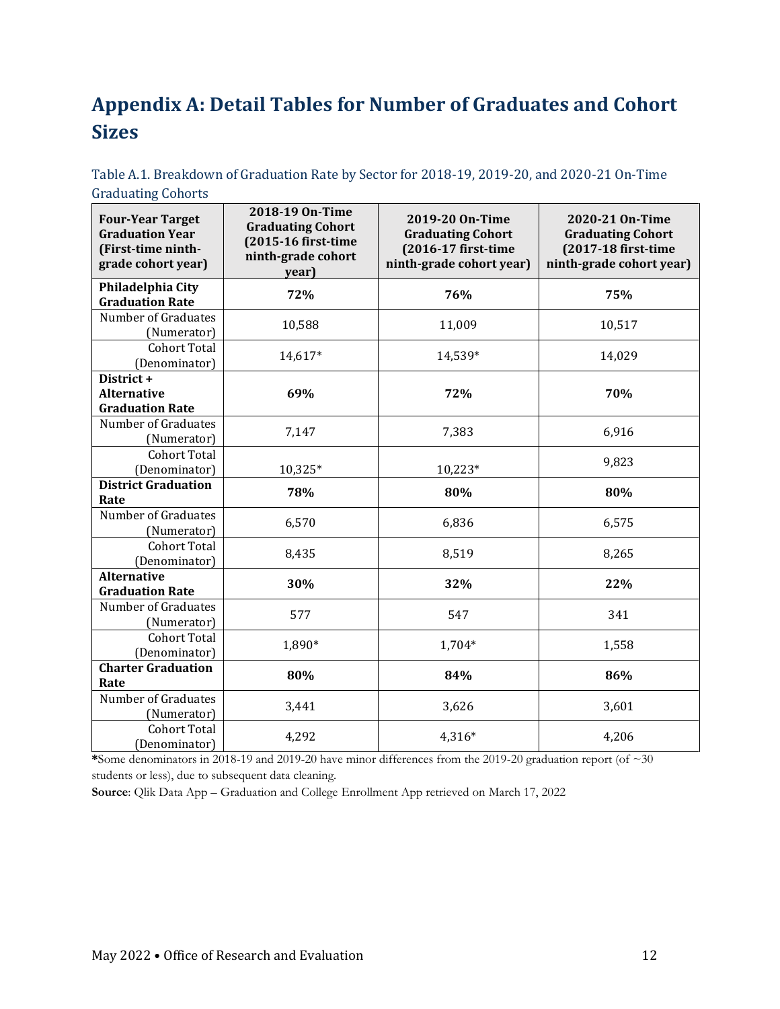## **Appendix A: Detail Tables for Number of Graduates and Cohort Sizes**

| Table A.1. Breakdown of Graduation Rate by Sector for 2018-19, 2019-20, and 2020-21 On-Time |  |  |
|---------------------------------------------------------------------------------------------|--|--|
| <b>Graduating Cohorts</b>                                                                   |  |  |

| <b>Four-Year Target</b><br><b>Graduation Year</b><br>(First-time ninth-<br>grade cohort year) | 2018-19 On-Time<br><b>Graduating Cohort</b><br>(2015-16 first-time<br>ninth-grade cohort<br>year) | 2019-20 On-Time<br><b>Graduating Cohort</b><br>(2016-17 first-time<br>ninth-grade cohort year) | 2020-21 On-Time<br><b>Graduating Cohort</b><br>(2017-18 first-time<br>ninth-grade cohort year) |
|-----------------------------------------------------------------------------------------------|---------------------------------------------------------------------------------------------------|------------------------------------------------------------------------------------------------|------------------------------------------------------------------------------------------------|
| Philadelphia City<br><b>Graduation Rate</b>                                                   | 72%                                                                                               | 76%                                                                                            | 75%                                                                                            |
| Number of Graduates<br>(Numerator)                                                            | 10,588                                                                                            | 11,009                                                                                         | 10,517                                                                                         |
| <b>Cohort Total</b><br>(Denominator)                                                          | $14,617*$                                                                                         | 14,539*                                                                                        | 14,029                                                                                         |
| District +<br><b>Alternative</b><br><b>Graduation Rate</b>                                    | 69%                                                                                               | 72%                                                                                            | 70%                                                                                            |
| Number of Graduates<br>(Numerator)                                                            | 7,147                                                                                             | 7,383                                                                                          | 6,916                                                                                          |
| <b>Cohort Total</b><br>(Denominator)                                                          | 10,325*                                                                                           | 10,223*                                                                                        | 9,823                                                                                          |
| <b>District Graduation</b><br>Rate                                                            | 78%                                                                                               | 80%                                                                                            | 80%                                                                                            |
| <b>Number of Graduates</b><br>(Numerator)                                                     | 6,570                                                                                             | 6,836                                                                                          | 6,575                                                                                          |
| <b>Cohort Total</b><br>(Denominator)                                                          | 8,435                                                                                             | 8,519                                                                                          | 8,265                                                                                          |
| <b>Alternative</b><br><b>Graduation Rate</b>                                                  | 30%                                                                                               | 32%                                                                                            | 22%                                                                                            |
| Number of Graduates<br>(Numerator)                                                            | 577                                                                                               | 547                                                                                            | 341                                                                                            |
| <b>Cohort Total</b><br>(Denominator)                                                          | 1,890*                                                                                            | 1,704*                                                                                         | 1,558                                                                                          |
| <b>Charter Graduation</b><br>Rate                                                             | 80%                                                                                               | 84%                                                                                            | 86%                                                                                            |
| Number of Graduates<br>(Numerator)                                                            | 3,441                                                                                             | 3,626                                                                                          | 3,601                                                                                          |
| Cohort Total<br>(Denominator)                                                                 | 4,292                                                                                             | 4,316*                                                                                         | 4,206                                                                                          |

**\***Some denominators in 2018-19 and 2019-20 have minor differences from the 2019-20 graduation report (of ~30 students or less), due to subsequent data cleaning.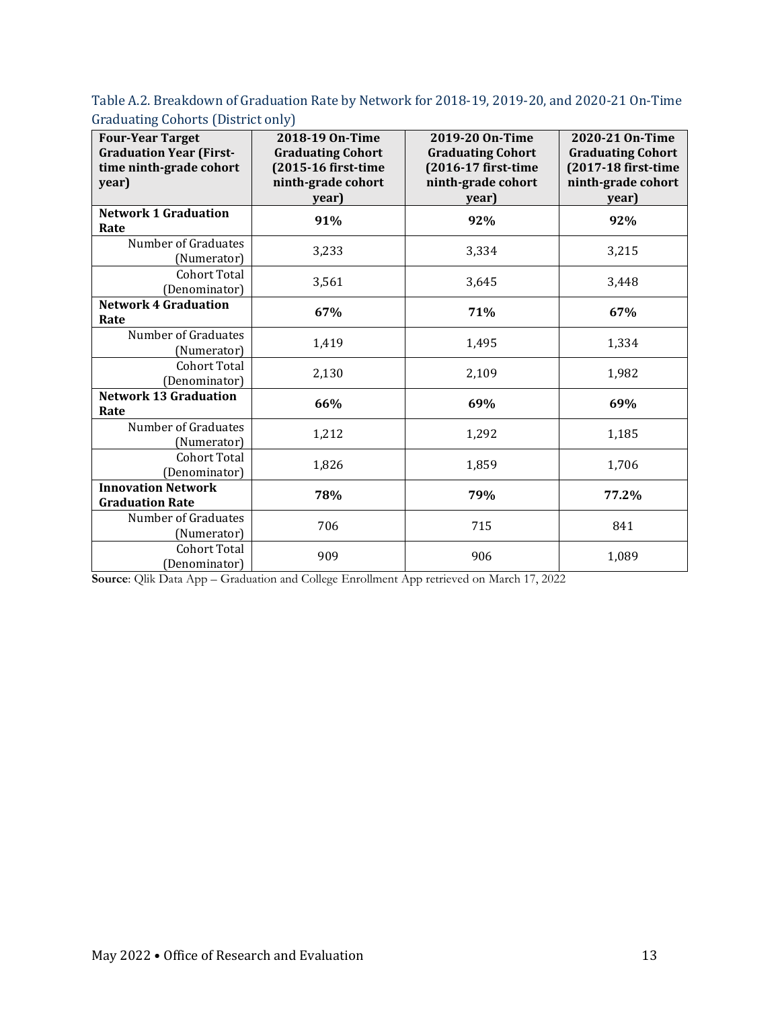Table A.2. Breakdown of Graduation Rate by Network for 2018-19, 2019-20, and 2020-21 On-Time Graduating Cohorts (District only)

| <b>Four-Year Target</b><br><b>Graduation Year (First-</b><br>time ninth-grade cohort<br>year) | 2018-19 On-Time<br><b>Graduating Cohort</b><br>(2015-16 first-time<br>ninth-grade cohort<br>year) | 2019-20 On-Time<br><b>Graduating Cohort</b><br>(2016-17 first-time<br>ninth-grade cohort<br>year) | 2020-21 On-Time<br><b>Graduating Cohort</b><br>(2017-18 first-time<br>ninth-grade cohort<br>year) |
|-----------------------------------------------------------------------------------------------|---------------------------------------------------------------------------------------------------|---------------------------------------------------------------------------------------------------|---------------------------------------------------------------------------------------------------|
| <b>Network 1 Graduation</b><br>Rate                                                           | 91%                                                                                               | 92%                                                                                               | 92%                                                                                               |
| Number of Graduates<br>(Numerator)                                                            | 3,233                                                                                             | 3,334                                                                                             | 3,215                                                                                             |
| <b>Cohort Total</b><br>(Denominator)                                                          | 3,561                                                                                             | 3,645                                                                                             | 3,448                                                                                             |
| <b>Network 4 Graduation</b><br>Rate                                                           | 67%                                                                                               | 71%                                                                                               | 67%                                                                                               |
| Number of Graduates<br>(Numerator)                                                            | 1,419                                                                                             | 1,495                                                                                             | 1,334                                                                                             |
| <b>Cohort Total</b><br>(Denominator)                                                          | 2,130                                                                                             | 2,109                                                                                             | 1,982                                                                                             |
| <b>Network 13 Graduation</b><br>Rate                                                          | 66%                                                                                               | 69%                                                                                               | 69%                                                                                               |
| Number of Graduates<br>(Numerator)                                                            | 1,212                                                                                             | 1,292                                                                                             | 1,185                                                                                             |
| <b>Cohort Total</b><br>(Denominator)                                                          | 1,826                                                                                             | 1,859                                                                                             | 1,706                                                                                             |
| <b>Innovation Network</b><br><b>Graduation Rate</b>                                           | 78%                                                                                               | 79%                                                                                               | 77.2%                                                                                             |
| Number of Graduates<br>(Numerator)                                                            | 706                                                                                               | 715                                                                                               | 841                                                                                               |
| Cohort Total<br>(Denominator)                                                                 | 909                                                                                               | 906                                                                                               | 1,089                                                                                             |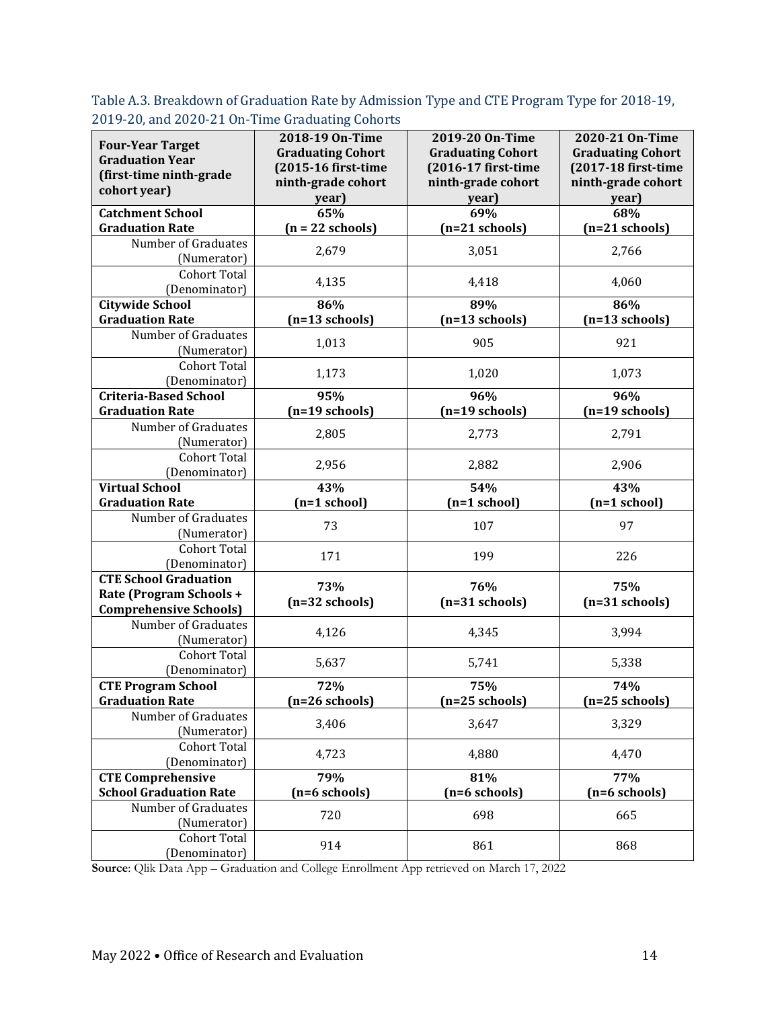Table A.3. Breakdown of Graduation Rate by Admission Type and CTE Program Type for 2018-19, 2019-20, and 2020-21 On-Time Graduating Cohorts

| <b>Four-Year Target</b><br><b>Graduation Year</b><br>(first-time ninth-grade<br>cohort year) | $\circ$<br>2018-19 On-Time<br><b>Graduating Cohort</b><br>(2015-16 first-time<br>ninth-grade cohort<br>year) | 2019-20 On-Time<br><b>Graduating Cohort</b><br>(2016-17 first-time<br>ninth-grade cohort<br>year) | 2020-21 On-Time<br><b>Graduating Cohort</b><br>(2017-18 first-time<br>ninth-grade cohort<br>year) |
|----------------------------------------------------------------------------------------------|--------------------------------------------------------------------------------------------------------------|---------------------------------------------------------------------------------------------------|---------------------------------------------------------------------------------------------------|
| <b>Catchment School</b>                                                                      | 65%                                                                                                          | 69%                                                                                               | 68%                                                                                               |
| <b>Graduation Rate</b>                                                                       | $(n = 22$ schools)                                                                                           | $(n=21$ schools)                                                                                  | $(n=21$ schools)                                                                                  |
| Number of Graduates<br>(Numerator)                                                           | 2,679                                                                                                        | 3,051                                                                                             | 2,766                                                                                             |
| <b>Cohort Total</b><br>(Denominator)                                                         | 4,135                                                                                                        | 4,418                                                                                             | 4,060                                                                                             |
| <b>Citywide School</b>                                                                       | 86%                                                                                                          | 89%                                                                                               | 86%                                                                                               |
| <b>Graduation Rate</b>                                                                       | $(n=13$ schools)                                                                                             | $(n=13$ schools)                                                                                  | $(n=13$ schools)                                                                                  |
| Number of Graduates<br>(Numerator)                                                           | 1,013                                                                                                        | 905                                                                                               | 921                                                                                               |
| <b>Cohort Total</b><br>(Denominator)                                                         | 1,173                                                                                                        | 1,020                                                                                             | 1,073                                                                                             |
| <b>Criteria-Based School</b>                                                                 | 95%                                                                                                          | 96%                                                                                               | 96%                                                                                               |
| <b>Graduation Rate</b>                                                                       | $(n=19 \text{ schools})$                                                                                     | $(n=19$ schools)                                                                                  | $(n=19$ schools)                                                                                  |
| Number of Graduates                                                                          | 2,805                                                                                                        | 2,773                                                                                             | 2,791                                                                                             |
| (Numerator)                                                                                  |                                                                                                              |                                                                                                   |                                                                                                   |
| <b>Cohort Total</b>                                                                          | 2,956                                                                                                        | 2,882                                                                                             | 2,906                                                                                             |
| (Denominator)<br><b>Virtual School</b>                                                       | 43%                                                                                                          | 54%                                                                                               | 43%                                                                                               |
| <b>Graduation Rate</b>                                                                       | $(n=1$ school)                                                                                               | $(n=1$ school)                                                                                    | $(n=1$ school)                                                                                    |
| Number of Graduates                                                                          |                                                                                                              |                                                                                                   |                                                                                                   |
| (Numerator)                                                                                  | 73                                                                                                           | 107                                                                                               | 97                                                                                                |
| <b>Cohort Total</b>                                                                          |                                                                                                              |                                                                                                   |                                                                                                   |
| (Denominator)                                                                                | 171                                                                                                          | 199                                                                                               | 226                                                                                               |
| <b>CTE School Graduation</b><br>Rate (Program Schools +<br><b>Comprehensive Schools)</b>     | 73%<br>$(n=32$ schools)                                                                                      | 76%<br>$(n=31$ schools)                                                                           | 75%<br>$(n=31$ schools)                                                                           |
| Number of Graduates<br>(Numerator)                                                           | 4,126                                                                                                        | 4,345                                                                                             | 3,994                                                                                             |
| <b>Cohort Total</b><br>(Denominator)                                                         | 5,637                                                                                                        | 5,741                                                                                             | 5,338                                                                                             |
| <b>CTE Program School</b>                                                                    | 72%                                                                                                          | 75%                                                                                               | 74%                                                                                               |
| <b>Graduation Rate</b>                                                                       | (n=26 schools)                                                                                               | (n=25 schools)                                                                                    | (n=25 schools)                                                                                    |
| Number of Graduates<br>(Numerator)                                                           | 3,406                                                                                                        | 3,647                                                                                             | 3,329                                                                                             |
| <b>Cohort Total</b><br>(Denominator)                                                         | 4,723                                                                                                        | 4,880                                                                                             | 4,470                                                                                             |
| <b>CTE Comprehensive</b>                                                                     | 79%                                                                                                          | 81%                                                                                               | 77%                                                                                               |
| <b>School Graduation Rate</b>                                                                | $(n=6$ schools)                                                                                              | $(n=6$ schools)                                                                                   | $(n=6$ schools)                                                                                   |
| Number of Graduates<br>(Numerator)                                                           | 720                                                                                                          | 698                                                                                               | 665                                                                                               |
| <b>Cohort Total</b><br>(Denominator)                                                         | 914                                                                                                          | 861                                                                                               | 868                                                                                               |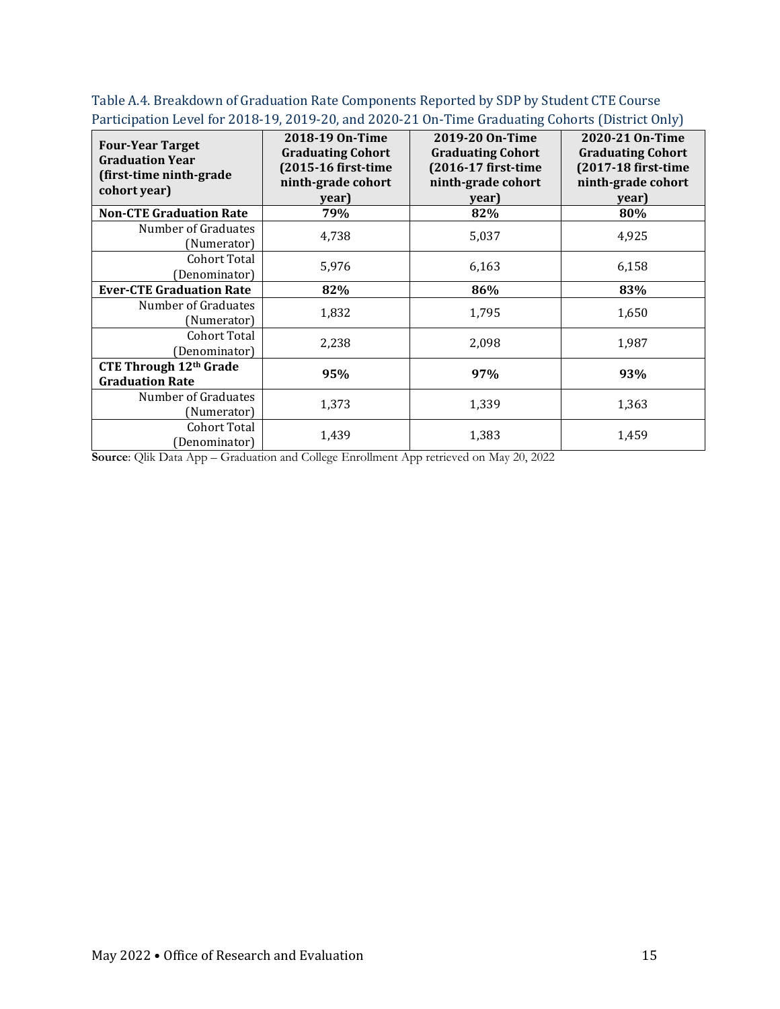| <b>Four-Year Target</b><br><b>Graduation Year</b><br>(first-time ninth-grade<br>cohort year) | 2018-19 On-Time<br><b>Graduating Cohort</b><br>(2015-16 first-time<br>ninth-grade cohort<br>year) | 2019-20 On-Time<br><b>Graduating Cohort</b><br>(2016-17 first-time<br>ninth-grade cohort<br>year) | 2020-21 On-Time<br><b>Graduating Cohort</b><br>(2017-18 first-time<br>ninth-grade cohort<br>year) |
|----------------------------------------------------------------------------------------------|---------------------------------------------------------------------------------------------------|---------------------------------------------------------------------------------------------------|---------------------------------------------------------------------------------------------------|
| <b>Non-CTE Graduation Rate</b>                                                               | 79%                                                                                               | 82%                                                                                               | 80%                                                                                               |
| Number of Graduates<br>(Numerator)                                                           | 4,738                                                                                             | 5,037                                                                                             | 4,925                                                                                             |
| Cohort Total<br>Denominator)                                                                 | 5,976                                                                                             | 6,163                                                                                             | 6,158                                                                                             |
| <b>Ever-CTE Graduation Rate</b>                                                              | 82%                                                                                               | 86%                                                                                               | 83%                                                                                               |
| Number of Graduates<br>(Numerator)                                                           | 1,832                                                                                             | 1,795                                                                                             | 1,650                                                                                             |
| Cohort Total<br>(Denominator)                                                                | 2,238                                                                                             | 2,098                                                                                             | 1,987                                                                                             |
| <b>CTE Through 12th Grade</b><br><b>Graduation Rate</b>                                      | 95%                                                                                               | 97%                                                                                               | 93%                                                                                               |
| Number of Graduates<br>(Numerator)                                                           | 1,373                                                                                             | 1,339                                                                                             | 1,363                                                                                             |
| Cohort Total<br>Denominator)                                                                 | 1,439                                                                                             | 1,383                                                                                             | 1,459                                                                                             |

Table A.4. Breakdown of Graduation Rate Components Reported by SDP by Student CTE Course Participation Level for 2018-19, 2019-20, and 2020-21 On-Time Graduating Cohorts (District Only)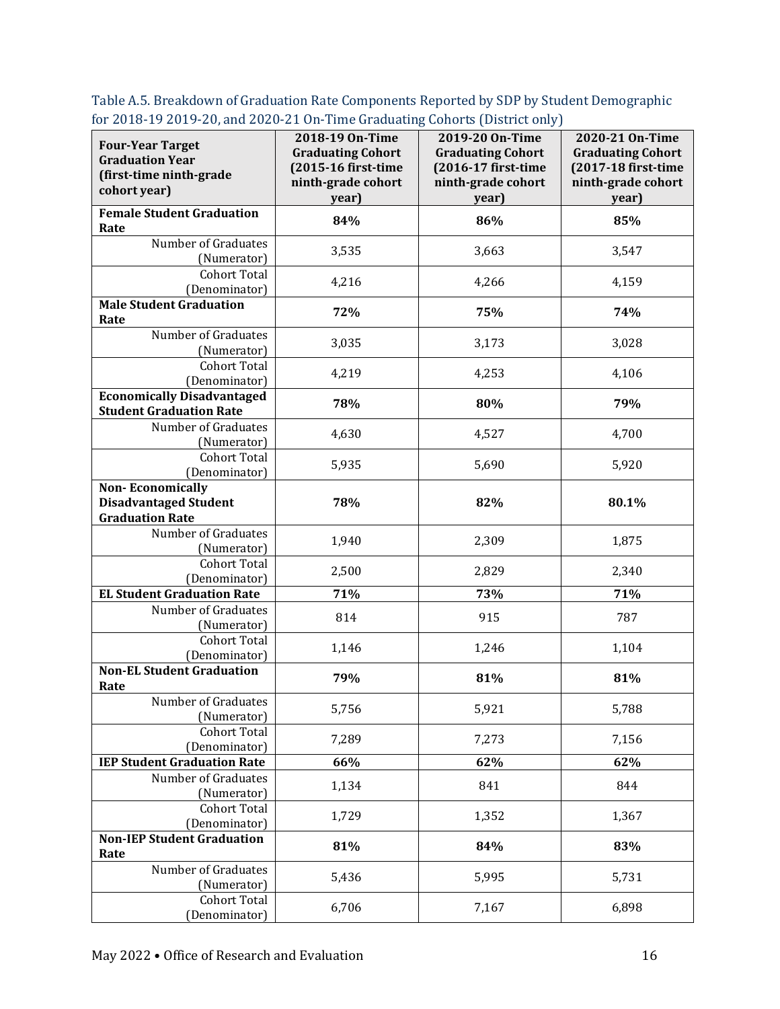| ior 2010-17 2017-20, and 2020-21 On-Third draduating Conords (District only J<br><b>Four-Year Target</b> | 2018-19 On-Time<br><b>Graduating Cohort</b> | 2019-20 On-Time<br><b>Graduating Cohort</b> | 2020-21 On-Time<br><b>Graduating Cohort</b> |
|----------------------------------------------------------------------------------------------------------|---------------------------------------------|---------------------------------------------|---------------------------------------------|
| <b>Graduation Year</b><br>(first-time ninth-grade                                                        | (2015-16 first-time                         | (2016-17 first-time                         | (2017-18 first-time                         |
| cohort year)                                                                                             | ninth-grade cohort                          | ninth-grade cohort                          | ninth-grade cohort                          |
| <b>Female Student Graduation</b>                                                                         | year)                                       | year)                                       | year)                                       |
| Rate                                                                                                     | 84%                                         | 86%                                         | 85%                                         |
| Number of Graduates                                                                                      | 3,535                                       | 3,663                                       | 3,547                                       |
| (Numerator)<br><b>Cohort Total</b>                                                                       |                                             |                                             |                                             |
| (Denominator)                                                                                            | 4,216                                       | 4,266                                       | 4,159                                       |
| <b>Male Student Graduation</b>                                                                           | 72%                                         | 75%                                         | 74%                                         |
| Rate                                                                                                     |                                             |                                             |                                             |
| Number of Graduates<br>(Numerator)                                                                       | 3,035                                       | 3,173                                       | 3,028                                       |
| <b>Cohort Total</b>                                                                                      | 4,219                                       | 4,253                                       | 4,106                                       |
| (Denominator)                                                                                            |                                             |                                             |                                             |
| <b>Economically Disadvantaged</b>                                                                        | 78%                                         | 80%                                         | 79%                                         |
| <b>Student Graduation Rate</b><br>Number of Graduates                                                    |                                             |                                             |                                             |
| (Numerator)                                                                                              | 4,630                                       | 4,527                                       | 4,700                                       |
| Cohort Total                                                                                             |                                             |                                             |                                             |
| (Denominator)                                                                                            | 5,935                                       | 5,690                                       | 5,920                                       |
| <b>Non-Economically</b>                                                                                  |                                             |                                             |                                             |
| <b>Disadvantaged Student</b>                                                                             | 78%                                         | 82%                                         | 80.1%                                       |
| <b>Graduation Rate</b><br>Number of Graduates                                                            |                                             |                                             |                                             |
| (Numerator)                                                                                              | 1,940                                       | 2,309                                       | 1,875                                       |
| <b>Cohort Total</b>                                                                                      |                                             |                                             |                                             |
| (Denominator)                                                                                            | 2,500                                       | 2,829                                       | 2,340                                       |
| <b>EL Student Graduation Rate</b>                                                                        | 71%                                         | 73%                                         | 71%                                         |
| Number of Graduates<br>(Numerator)                                                                       | 814                                         | 915                                         | 787                                         |
| <b>Cohort Total</b>                                                                                      |                                             |                                             |                                             |
| (Denominator)                                                                                            | 1,146                                       | 1,246                                       | 1,104                                       |
| <b>Non-EL Student Graduation</b><br>Rate                                                                 | 79%                                         | 81%                                         | 81%                                         |
| Number of Graduates<br>(Numerator)                                                                       | 5,756                                       | 5,921                                       | 5,788                                       |
| <b>Cohort Total</b>                                                                                      |                                             |                                             |                                             |
| (Denominator)                                                                                            | 7,289                                       | 7,273                                       | 7,156                                       |
| <b>IEP Student Graduation Rate</b>                                                                       | 66%                                         | 62%                                         | 62%                                         |
| Number of Graduates<br>(Numerator)                                                                       | 1,134                                       | 841                                         | 844                                         |
| <b>Cohort Total</b>                                                                                      |                                             |                                             |                                             |
| (Denominator)                                                                                            | 1,729                                       | 1,352                                       | 1,367                                       |
| <b>Non-IEP Student Graduation</b><br>Rate                                                                | 81%                                         | 84%                                         | 83%                                         |
| Number of Graduates                                                                                      | 5,436                                       | 5,995                                       |                                             |
| (Numerator)                                                                                              |                                             |                                             | 5,731                                       |
| <b>Cohort Total</b>                                                                                      | 6,706                                       | 7,167                                       | 6,898                                       |
| (Denominator)                                                                                            |                                             |                                             |                                             |

Table A.5. Breakdown of Graduation Rate Components Reported by SDP by Student Demographic for 2018-19 2019-20, and 2020-21 On-Time Graduating Cohorts (District only)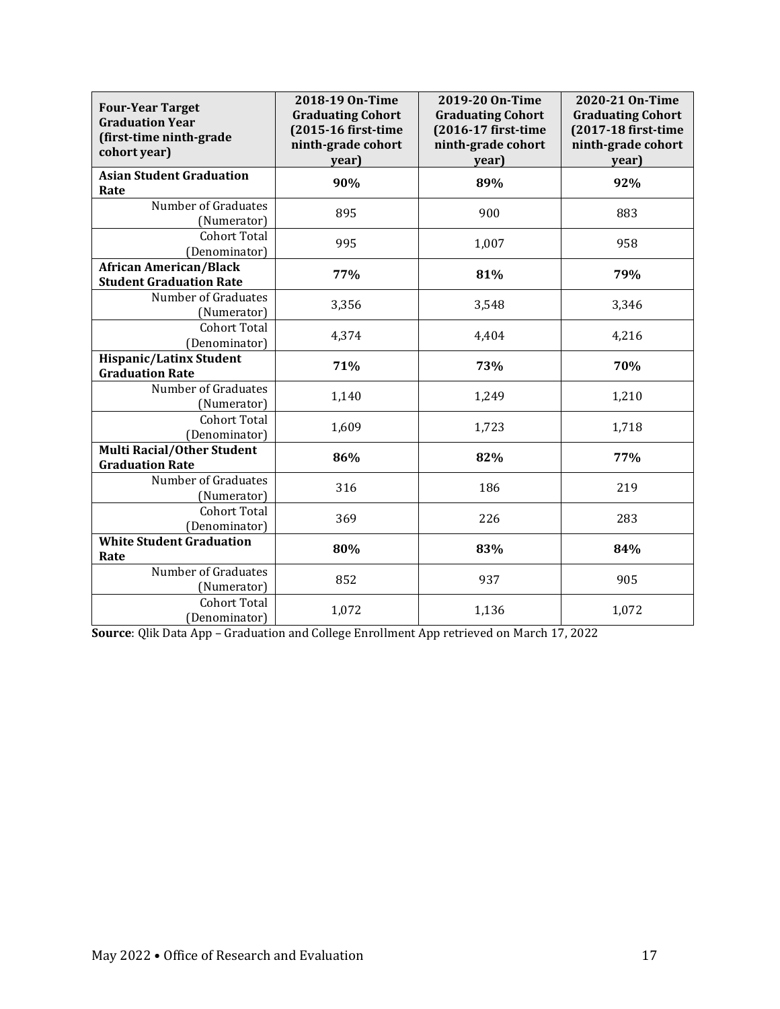| <b>Four-Year Target</b><br><b>Graduation Year</b><br>(first-time ninth-grade<br>cohort year) | 2018-19 On-Time<br><b>Graduating Cohort</b><br>(2015-16 first-time<br>ninth-grade cohort<br>year) | 2019-20 On-Time<br><b>Graduating Cohort</b><br>(2016-17 first-time<br>ninth-grade cohort<br>year) | 2020-21 On-Time<br><b>Graduating Cohort</b><br>(2017-18 first-time<br>ninth-grade cohort<br>year) |
|----------------------------------------------------------------------------------------------|---------------------------------------------------------------------------------------------------|---------------------------------------------------------------------------------------------------|---------------------------------------------------------------------------------------------------|
| <b>Asian Student Graduation</b><br>Rate                                                      | 90%                                                                                               | 89%                                                                                               | 92%                                                                                               |
| Number of Graduates<br>(Numerator)                                                           | 895                                                                                               | 900                                                                                               | 883                                                                                               |
| <b>Cohort Total</b><br>(Denominator)                                                         | 995                                                                                               | 1,007                                                                                             | 958                                                                                               |
| <b>African American/Black</b><br><b>Student Graduation Rate</b>                              | 77%                                                                                               | 81%                                                                                               | 79%                                                                                               |
| Number of Graduates<br>(Numerator)                                                           | 3,356                                                                                             | 3,548                                                                                             | 3,346                                                                                             |
| <b>Cohort Total</b><br>(Denominator)                                                         | 4,374                                                                                             | 4,404                                                                                             | 4,216                                                                                             |
| <b>Hispanic/Latinx Student</b><br><b>Graduation Rate</b>                                     | 71%                                                                                               | 73%                                                                                               | 70%                                                                                               |
| Number of Graduates<br>(Numerator)                                                           | 1,140                                                                                             | 1,249                                                                                             | 1,210                                                                                             |
| <b>Cohort Total</b><br>(Denominator)                                                         | 1,609                                                                                             | 1,723                                                                                             | 1,718                                                                                             |
| <b>Multi Racial/Other Student</b><br><b>Graduation Rate</b>                                  | 86%                                                                                               | 82%                                                                                               | 77%                                                                                               |
| Number of Graduates<br>(Numerator)                                                           | 316                                                                                               | 186                                                                                               | 219                                                                                               |
| <b>Cohort Total</b><br>(Denominator)                                                         | 369                                                                                               | 226                                                                                               | 283                                                                                               |
| <b>White Student Graduation</b><br>Rate                                                      | 80%                                                                                               | 83%                                                                                               | 84%                                                                                               |
| Number of Graduates<br>(Numerator)                                                           | 852                                                                                               | 937                                                                                               | 905                                                                                               |
| <b>Cohort Total</b><br>(Denominator)                                                         | 1,072                                                                                             | 1,136                                                                                             | 1,072                                                                                             |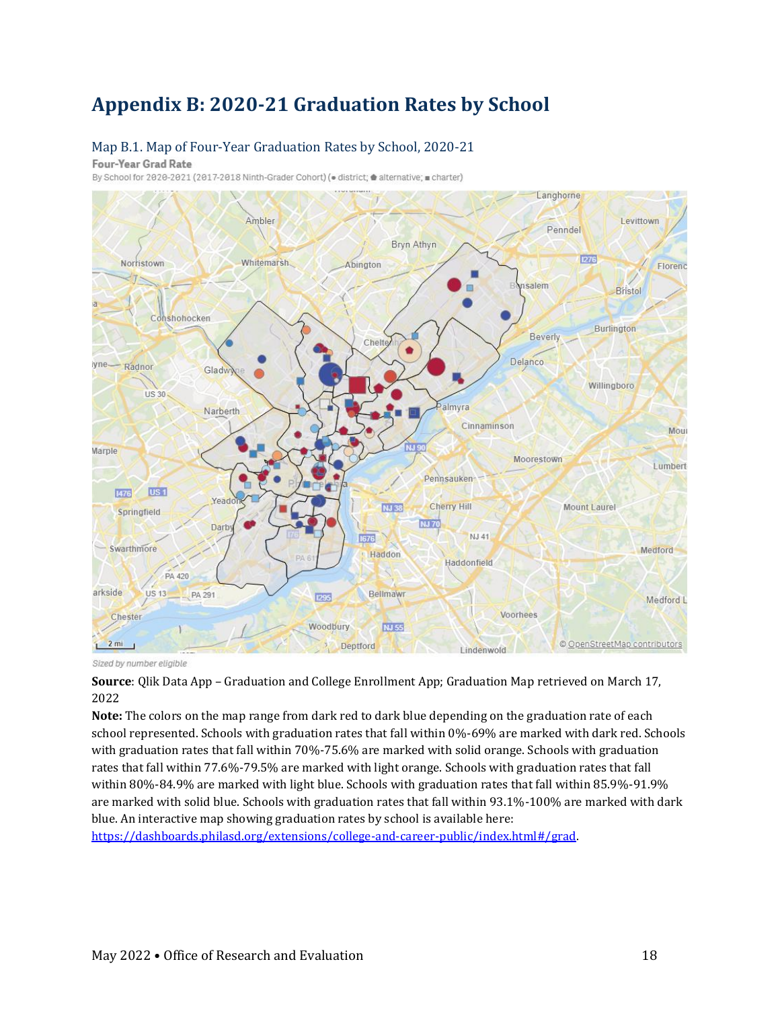### **Appendix B: 2020-21 Graduation Rates by School**

#### Map B.1. Map of Four-Year Graduation Rates by School, 2020-21

Four-Year Grad Rate

By School for 2020-2021 (2017-2018 Ninth-Grader Cohort) (. district; d alternative; charter)



Sized by number eligible

**Source**: Qlik Data App – Graduation and College Enrollment App; Graduation Map retrieved on March 17, 2022

**Note:** The colors on the map range from dark red to dark blue depending on the graduation rate of each school represented. Schools with graduation rates that fall within 0%-69% are marked with dark red. Schools with graduation rates that fall within 70%-75.6% are marked with solid orange. Schools with graduation rates that fall within 77.6%-79.5% are marked with light orange. Schools with graduation rates that fall within 80%-84.9% are marked with light blue. Schools with graduation rates that fall within 85.9%-91.9% are marked with solid blue. Schools with graduation rates that fall within 93.1%-100% are marked with dark blue. An interactive map showing graduation rates by school is available here:

[https://dashboards.philasd.org/extensions/college-and-career-public/index.html#/grad.](https://dashboards.philasd.org/extensions/college-and-career-public/index.html#/grad)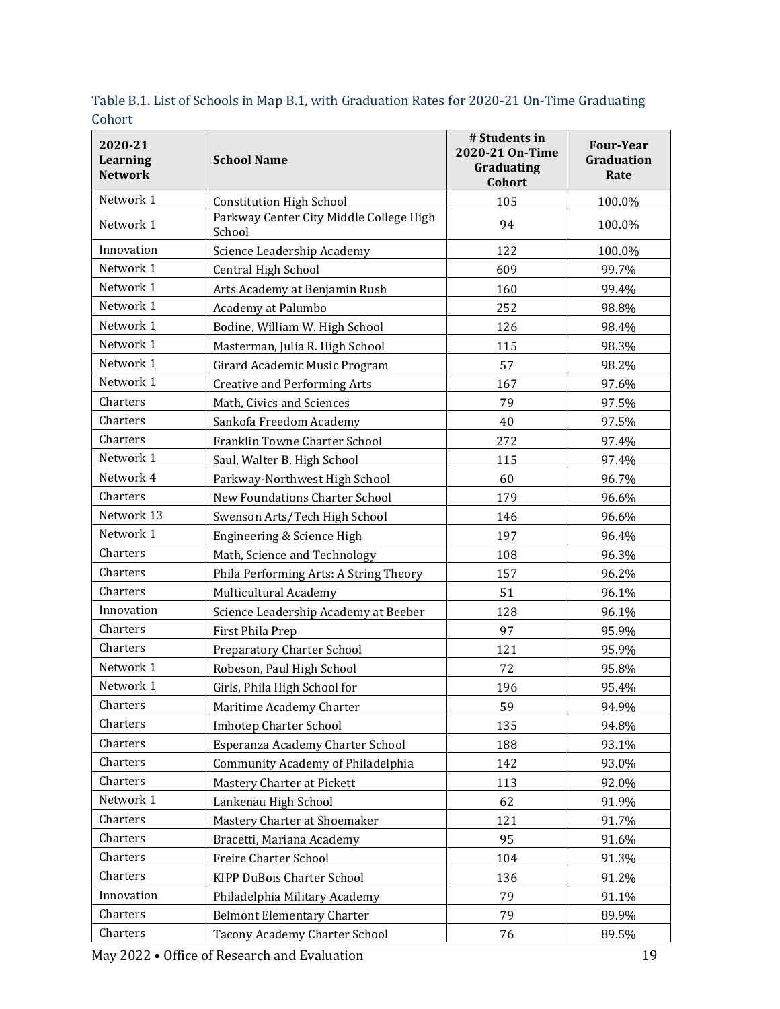| 2020-21<br>Learning<br><b>Network</b> | <b>School Name</b>                                | # Students in<br>2020-21 On-Time<br>Graduating<br>Cohort | <b>Four-Year</b><br>Graduation<br>Rate |
|---------------------------------------|---------------------------------------------------|----------------------------------------------------------|----------------------------------------|
| Network 1                             | <b>Constitution High School</b>                   | 105                                                      | 100.0%                                 |
| Network 1                             | Parkway Center City Middle College High<br>School | 94                                                       | 100.0%                                 |
| Innovation                            | Science Leadership Academy                        | 122                                                      | 100.0%                                 |
| Network 1                             | Central High School                               | 609                                                      | 99.7%                                  |
| Network 1                             | Arts Academy at Benjamin Rush                     | 160                                                      | 99.4%                                  |
| Network 1                             | Academy at Palumbo                                | 252                                                      | 98.8%                                  |
| Network 1                             | Bodine, William W. High School                    | 126                                                      | 98.4%                                  |
| Network 1                             | Masterman, Julia R. High School                   | 115                                                      | 98.3%                                  |
| Network 1                             | Girard Academic Music Program                     | 57                                                       | 98.2%                                  |
| Network 1                             | <b>Creative and Performing Arts</b>               | 167                                                      | 97.6%                                  |
| Charters                              | Math, Civics and Sciences                         | 79                                                       | 97.5%                                  |
| Charters                              | Sankofa Freedom Academy                           | 40                                                       | 97.5%                                  |
| Charters                              | Franklin Towne Charter School                     | 272                                                      | 97.4%                                  |
| Network 1                             | Saul, Walter B. High School                       | 115                                                      | 97.4%                                  |
| Network 4                             | Parkway-Northwest High School                     | 60                                                       | 96.7%                                  |
| Charters                              | New Foundations Charter School                    | 179                                                      | 96.6%                                  |
| Network 13                            | Swenson Arts/Tech High School                     | 146                                                      | 96.6%                                  |
| Network 1                             | Engineering & Science High                        | 197                                                      | 96.4%                                  |
| Charters                              | Math, Science and Technology                      | 108                                                      | 96.3%                                  |
| Charters                              | Phila Performing Arts: A String Theory            | 157                                                      | 96.2%                                  |
| Charters                              | Multicultural Academy                             | 51                                                       | 96.1%                                  |
| Innovation                            | Science Leadership Academy at Beeber              | 128                                                      | 96.1%                                  |
| Charters                              | First Phila Prep                                  | 97                                                       | 95.9%                                  |
| Charters                              | Preparatory Charter School                        | 121                                                      | 95.9%                                  |
| Network 1                             | Robeson, Paul High School                         | 72                                                       | 95.8%                                  |
| Network 1                             | Girls, Phila High School for                      | 196                                                      | 95.4%                                  |
| Charters                              | Maritime Academy Charter                          | 59                                                       | 94.9%                                  |
| Charters                              | <b>Imhotep Charter School</b>                     | 135                                                      | 94.8%                                  |
| Charters                              | Esperanza Academy Charter School                  | 188                                                      | 93.1%                                  |
| Charters                              | Community Academy of Philadelphia                 | 142                                                      | 93.0%                                  |
| Charters                              | Mastery Charter at Pickett                        | 113                                                      | 92.0%                                  |
| Network 1                             | Lankenau High School                              | 62                                                       | 91.9%                                  |
| Charters                              | Mastery Charter at Shoemaker                      | 121                                                      | 91.7%                                  |
| Charters                              | Bracetti, Mariana Academy                         | 95                                                       | 91.6%                                  |
| Charters                              | Freire Charter School                             | 104                                                      | 91.3%                                  |
| Charters                              | KIPP DuBois Charter School                        | 136                                                      | 91.2%                                  |
| Innovation                            | Philadelphia Military Academy                     | 79                                                       | 91.1%                                  |
| Charters                              | <b>Belmont Elementary Charter</b>                 | 79                                                       | 89.9%                                  |
| Charters                              | Tacony Academy Charter School                     | 76                                                       | 89.5%                                  |

Table B.1. List of Schools in Map B.1, with Graduation Rates for 2020-21 On-Time Graduating Cohort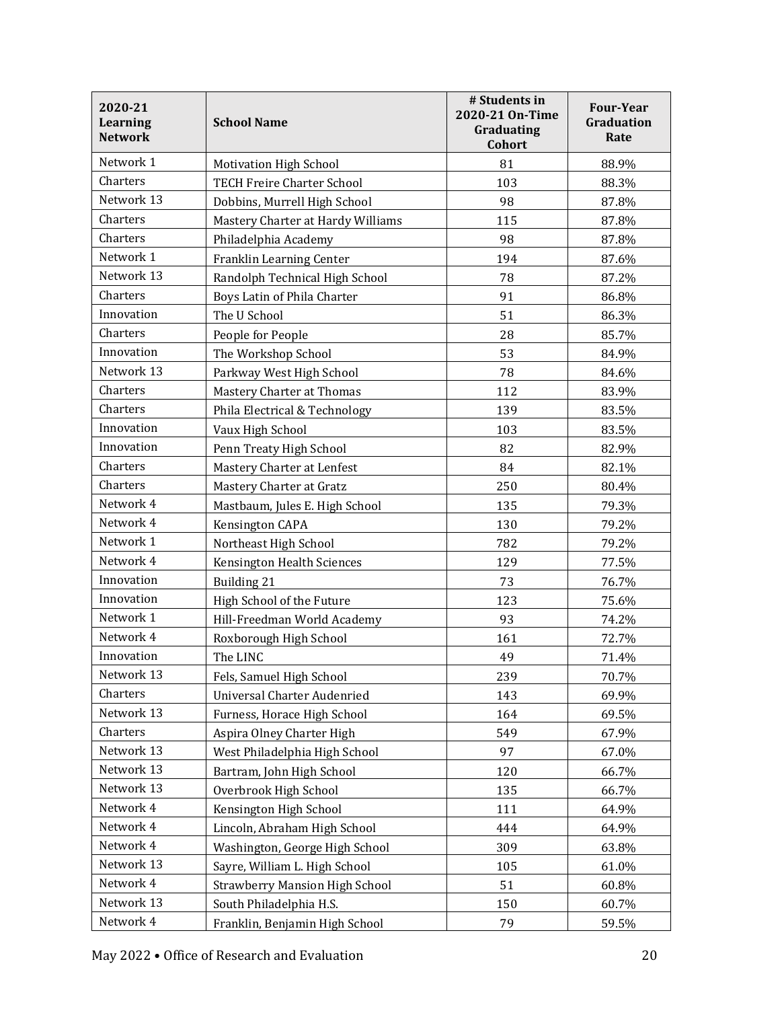| 2020-21<br><b>Learning</b><br><b>Network</b> | <b>School Name</b>                    | # Students in<br>2020-21 On-Time<br>Graduating<br>Cohort | <b>Four-Year</b><br>Graduation<br>Rate |
|----------------------------------------------|---------------------------------------|----------------------------------------------------------|----------------------------------------|
| Network 1                                    | <b>Motivation High School</b>         | 81                                                       | 88.9%                                  |
| Charters                                     | <b>TECH Freire Charter School</b>     | 103                                                      | 88.3%                                  |
| Network 13                                   | Dobbins, Murrell High School          | 98                                                       | 87.8%                                  |
| Charters                                     | Mastery Charter at Hardy Williams     | 115                                                      | 87.8%                                  |
| Charters                                     | Philadelphia Academy                  | 98                                                       | 87.8%                                  |
| Network 1                                    | Franklin Learning Center              | 194                                                      | 87.6%                                  |
| Network 13                                   | Randolph Technical High School        | 78                                                       | 87.2%                                  |
| Charters                                     | Boys Latin of Phila Charter           | 91                                                       | 86.8%                                  |
| Innovation                                   | The U School                          | 51                                                       | 86.3%                                  |
| Charters                                     | People for People                     | 28                                                       | 85.7%                                  |
| Innovation                                   | The Workshop School                   | 53                                                       | 84.9%                                  |
| Network 13                                   | Parkway West High School              | 78                                                       | 84.6%                                  |
| Charters                                     | Mastery Charter at Thomas             | 112                                                      | 83.9%                                  |
| Charters                                     | Phila Electrical & Technology         | 139                                                      | 83.5%                                  |
| Innovation                                   | Vaux High School                      | 103                                                      | 83.5%                                  |
| Innovation                                   | Penn Treaty High School               | 82                                                       | 82.9%                                  |
| Charters                                     | Mastery Charter at Lenfest            | 84                                                       | 82.1%                                  |
| Charters                                     | Mastery Charter at Gratz              | 250                                                      | 80.4%                                  |
| Network 4                                    | Mastbaum, Jules E. High School        | 135                                                      | 79.3%                                  |
| Network 4                                    | Kensington CAPA                       | 130                                                      | 79.2%                                  |
| Network 1                                    | Northeast High School                 | 782                                                      | 79.2%                                  |
| Network 4                                    | Kensington Health Sciences            | 129                                                      | 77.5%                                  |
| Innovation                                   | Building 21                           | 73                                                       | 76.7%                                  |
| Innovation                                   | High School of the Future             | 123                                                      | 75.6%                                  |
| Network 1                                    | Hill-Freedman World Academy           | 93                                                       | 74.2%                                  |
| Network 4                                    | Roxborough High School                | 161                                                      | 72.7%                                  |
| Innovation                                   | The LINC                              | 49                                                       | 71.4%                                  |
| Network 13                                   | Fels, Samuel High School              | 239                                                      | 70.7%                                  |
| Charters                                     | Universal Charter Audenried           | 143                                                      | 69.9%                                  |
| Network 13                                   | Furness, Horace High School           | 164                                                      | 69.5%                                  |
| Charters                                     | Aspira Olney Charter High             | 549                                                      | 67.9%                                  |
| Network 13                                   | West Philadelphia High School         | 97                                                       | 67.0%                                  |
| Network 13                                   | Bartram, John High School             | 120                                                      | 66.7%                                  |
| Network 13                                   | Overbrook High School                 | 135                                                      | 66.7%                                  |
| Network 4                                    | Kensington High School                | 111                                                      | 64.9%                                  |
| Network 4                                    | Lincoln, Abraham High School          | 444                                                      | 64.9%                                  |
| Network 4                                    | Washington, George High School        | 309                                                      | 63.8%                                  |
| Network 13                                   | Sayre, William L. High School         | 105                                                      | 61.0%                                  |
| Network 4                                    | <b>Strawberry Mansion High School</b> | 51                                                       | 60.8%                                  |
| Network 13                                   | South Philadelphia H.S.               | 150                                                      | 60.7%                                  |
| Network 4                                    | Franklin, Benjamin High School        | 79                                                       | 59.5%                                  |